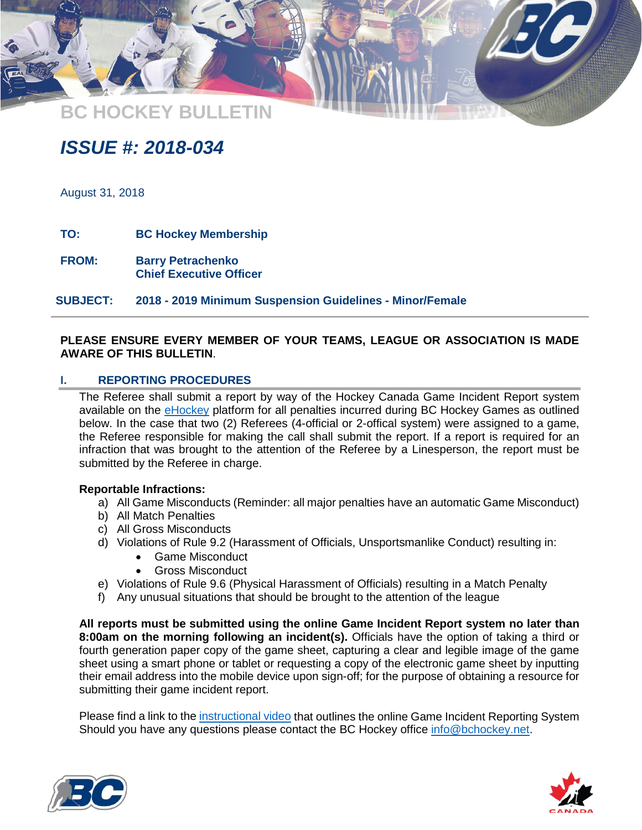**BC HOCKEY BULLETIN**

# *ISSUE #: 2018-034*

August 31, 2018

**TO: BC Hockey Membership**

**FROM: Barry Petrachenko Chief Executive Officer**

**SUBJECT: 2018 - 2019 Minimum Suspension Guidelines - Minor/Female** 

# **PLEASE ENSURE EVERY MEMBER OF YOUR TEAMS, LEAGUE OR ASSOCIATION IS MADE AWARE OF THIS BULLETIN**.

#### **I. REPORTING PROCEDURES**

The Referee shall submit a report by way of the Hockey Canada Game Incident Report system available on the [eHockey](https://ehockey.hockeycanada.ca/ehockey/Account/Login.aspx?ReturnUrl=%2fehockey%2fDefault.aspx) platform for all penalties incurred during BC Hockey Games as outlined below. In the case that two (2) Referees (4-official or 2-offical system) were assigned to a game, the Referee responsible for making the call shall submit the report. If a report is required for an infraction that was brought to the attention of the Referee by a Linesperson, the report must be submitted by the Referee in charge.

#### **Reportable Infractions:**

- a) All Game Misconducts (Reminder: all major penalties have an automatic Game Misconduct)
- b) All Match Penalties
- c) All Gross Misconducts
- d) Violations of Rule 9.2 (Harassment of Officials, Unsportsmanlike Conduct) resulting in:
	- Game Misconduct
	- Gross Misconduct
- e) Violations of Rule 9.6 (Physical Harassment of Officials) resulting in a Match Penalty
- f) Any unusual situations that should be brought to the attention of the league

**All reports must be submitted using the online Game Incident Report system no later than 8:00am on the morning following an incident(s).** Officials have the option of taking a third or fourth generation paper copy of the game sheet, capturing a clear and legible image of the game sheet using a smart phone or tablet or requesting a copy of the electronic game sheet by inputting their email address into the mobile device upon sign-off; for the purpose of obtaining a resource for submitting their game incident report.

Please find a link to the [instructional video](https://www.youtube.com/watch?v=vZO89N16w18&feature=youtu.be) that outlines the online Game Incident Reporting System Should you have any questions please contact the BC Hockey office [info@bchockey.net.](mailto:info@bchockey.net)



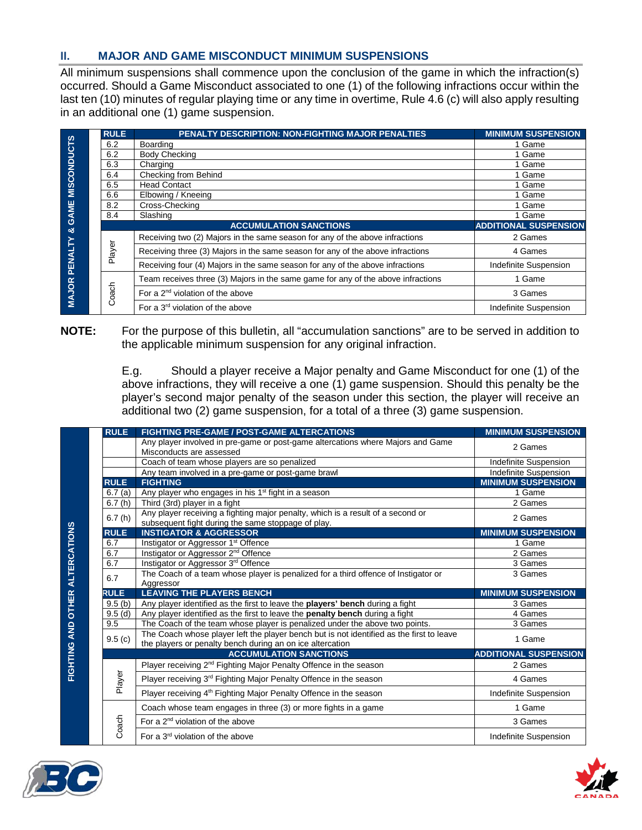# **II. MAJOR AND GAME MISCONDUCT MINIMUM SUSPENSIONS**

All minimum suspensions shall commence upon the conclusion of the game in which the infraction(s) occurred. Should a Game Misconduct associated to one (1) of the following infractions occur within the last ten (10) minutes of regular playing time or any time in overtime, Rule 4.6 (c) will also apply resulting in an additional one (1) game suspension.

|                    | <b>RULE</b> | PENALTY DESCRIPTION: NON-FIGHTING MAJOR PENALTIES                                | <b>MINIMUM SUSPENSION</b>    |
|--------------------|-------------|----------------------------------------------------------------------------------|------------------------------|
| <b>MISCONDUCTS</b> | 6.2         | Boarding                                                                         | 1 Game                       |
|                    | 6.2         | <b>Body Checking</b>                                                             | 1 Game                       |
|                    | 6.3         | Charging                                                                         | 1 Game                       |
|                    | 6.4         | Checking from Behind                                                             | 1 Game                       |
|                    | 6.5         | <b>Head Contact</b>                                                              | 1 Game                       |
|                    | 6.6         | Elbowing / Kneeing                                                               | 1 Game                       |
|                    | 8.2         | Cross-Checking                                                                   | 1 Game                       |
| <b>GAME</b>        | 8.4         | Slashing                                                                         | 1 Game                       |
| త                  |             | <b>ACCUMULATION SANCTIONS</b>                                                    | <b>ADDITIONAL SUSPENSION</b> |
| PENALTY            |             | Receiving two (2) Majors in the same season for any of the above infractions     | 2 Games                      |
|                    | Player      | Receiving three (3) Majors in the same season for any of the above infractions   | 4 Games                      |
|                    |             | Receiving four (4) Majors in the same season for any of the above infractions    | Indefinite Suspension        |
|                    |             | Team receives three (3) Majors in the same game for any of the above infractions | 1 Game                       |
| <b>MAJOR</b>       | oach        | For a $2nd$ violation of the above                                               | 3 Games                      |
|                    | Ö           | For a $3rd$ violation of the above                                               | Indefinite Suspension        |

#### **NOTE:** For the purpose of this bulletin, all "accumulation sanctions" are to be served in addition to the applicable minimum suspension for any original infraction.

E.g. Should a player receive a Major penalty and Game Misconduct for one (1) of the above infractions, they will receive a one (1) game suspension. Should this penalty be the player's second major penalty of the season under this section, the player will receive an additional two (2) game suspension, for a total of a three (3) game suspension.

| <b>RULE</b> | <b>FIGHTING PRE-GAME / POST-GAME ALTERCATIONS</b>                                          | <b>MINIMUM SUSPENSION</b>               |
|-------------|--------------------------------------------------------------------------------------------|-----------------------------------------|
|             | Any player involved in pre-game or post-game altercations where Majors and Game            | 2 Games                                 |
|             | Misconducts are assessed                                                                   |                                         |
|             | Coach of team whose players are so penalized                                               | Indefinite Suspension                   |
|             | Any team involved in a pre-game or post-game brawl                                         | Indefinite Suspension                   |
| <b>RULE</b> | <b>FIGHTING</b>                                                                            | <b>MINIMUM SUSPENSION</b>               |
| 6.7(a)      | Any player who engages in his 1 <sup>st</sup> fight in a season                            | 1 Game                                  |
| 6.7(h)      | Third (3rd) player in a fight                                                              | 2 Games                                 |
| 6.7(h)      | Any player receiving a fighting major penalty, which is a result of a second or            | 2 Games                                 |
|             | subsequent fight during the same stoppage of play.                                         |                                         |
| <b>RULE</b> | <b>INSTIGATOR &amp; AGGRESSOR</b>                                                          | <b>MINIMUM SUSPENSION</b>               |
| 6.7         | Instigator or Aggressor 1 <sup>st</sup> Offence                                            | 1 Game                                  |
| 6.7         | Instigator or Aggressor 2 <sup>nd</sup> Offence                                            | 2 Games                                 |
| 6.7         | Instigator or Aggressor 3rd Offence                                                        | 3 Games                                 |
| 6.7         | The Coach of a team whose player is penalized for a third offence of Instigator or         | 3 Games                                 |
|             | Aggressor                                                                                  |                                         |
| <b>RULE</b> | <b>LEAVING THE PLAYERS BENCH</b>                                                           | <b>MINIMUM SUSPENSION</b>               |
| 9.5(b)      | Any player identified as the first to leave the <b>players' bench</b> during a fight       | 3 Games                                 |
|             |                                                                                            |                                         |
| 9.5(d)      | Any player identified as the first to leave the penalty bench during a fight               | 4 Games                                 |
| 9.5         | The Coach of the team whose player is penalized under the above two points.                | 3 Games                                 |
| 9.5(c)      | The Coach whose player left the player bench but is not identified as the first to leave   | 1 Game                                  |
|             | the players or penalty bench during an on ice altercation<br><b>ACCUMULATION SANCTIONS</b> |                                         |
|             | Player receiving 2 <sup>nd</sup> Fighting Major Penalty Offence in the season              | 2 Games                                 |
|             | Player receiving 3 <sup>rd</sup> Fighting Major Penalty Offence in the season              | 4 Games                                 |
| Player      | Player receiving 4 <sup>th</sup> Fighting Major Penalty Offence in the season              | Indefinite Suspension                   |
|             | Coach whose team engages in three (3) or more fights in a game                             | 1 Game                                  |
| Coach       | For a $2nd$ violation of the above                                                         | <b>ADDITIONAL SUSPENSION</b><br>3 Games |



**FIGHTING AND OTHER ALTERCATIONS**

FIGHTING AND OTHER ALTERCATIONS

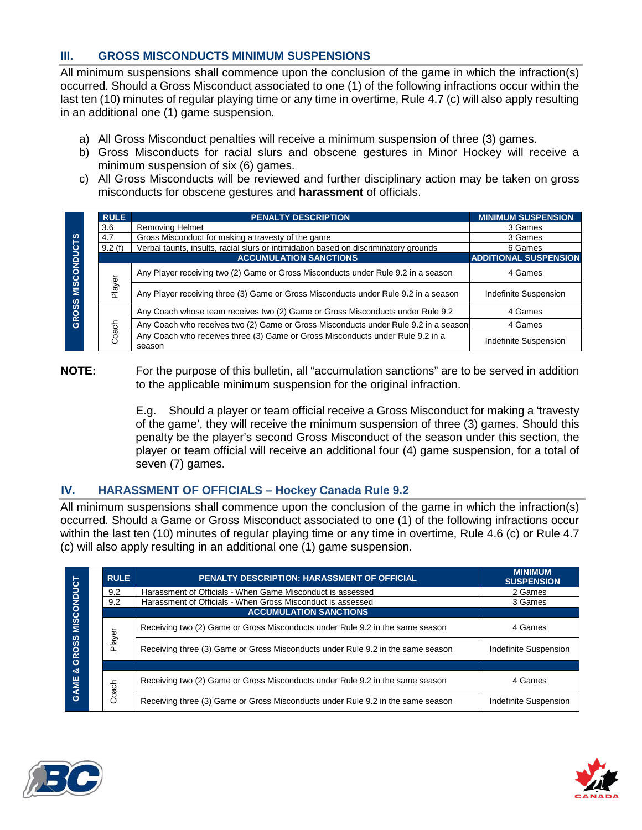# **III. GROSS MISCONDUCTS MINIMUM SUSPENSIONS**

All minimum suspensions shall commence upon the conclusion of the game in which the infraction(s) occurred. Should a Gross Misconduct associated to one (1) of the following infractions occur within the last ten (10) minutes of regular playing time or any time in overtime, Rule 4.7 (c) will also apply resulting in an additional one (1) game suspension.

- a) All Gross Misconduct penalties will receive a minimum suspension of three (3) games.
- b) Gross Misconducts for racial slurs and obscene gestures in Minor Hockey will receive a minimum suspension of six (6) games.
- c) All Gross Misconducts will be reviewed and further disciplinary action may be taken on gross misconducts for obscene gestures and **harassment** of officials.

| <b>MISCONDUCTS</b><br>GROSS | <b>RULE</b> | <b>PENALTY DESCRIPTION</b>                                                               | <b>MINIMUM SUSPENSION</b>    |
|-----------------------------|-------------|------------------------------------------------------------------------------------------|------------------------------|
|                             | 3.6         | <b>Removing Helmet</b>                                                                   | 3 Games                      |
|                             | 4.7         | Gross Misconduct for making a travesty of the game                                       | 3 Games                      |
|                             | 9.2(f)      | Verbal taunts, insults, racial slurs or intimidation based on discriminatory grounds     | 6 Games                      |
|                             |             | <b>ACCUMULATION SANCTIONS</b>                                                            | <b>ADDITIONAL SUSPENSION</b> |
|                             |             | Any Player receiving two (2) Game or Gross Misconducts under Rule 9.2 in a season        | 4 Games                      |
|                             | Player      | Any Player receiving three (3) Game or Gross Misconducts under Rule 9.2 in a season      | Indefinite Suspension        |
|                             |             | Any Coach whose team receives two (2) Game or Gross Misconducts under Rule 9.2           | 4 Games                      |
|                             |             | Any Coach who receives two (2) Game or Gross Misconducts under Rule 9.2 in a season      | 4 Games                      |
|                             | Coach       | Any Coach who receives three (3) Game or Gross Misconducts under Rule 9.2 in a<br>season | Indefinite Suspension        |

**NOTE:** For the purpose of this bulletin, all "accumulation sanctions" are to be served in addition to the applicable minimum suspension for the original infraction.

> E.g. Should a player or team official receive a Gross Misconduct for making a 'travesty of the game', they will receive the minimum suspension of three (3) games. Should this penalty be the player's second Gross Misconduct of the season under this section, the player or team official will receive an additional four (4) game suspension, for a total of seven (7) games.

# **IV. HARASSMENT OF OFFICIALS – Hockey Canada Rule 9.2**

All minimum suspensions shall commence upon the conclusion of the game in which the infraction(s) occurred. Should a Game or Gross Misconduct associated to one (1) of the following infractions occur within the last ten (10) minutes of regular playing time or any time in overtime, Rule 4.6 (c) or Rule 4.7 (c) will also apply resulting in an additional one (1) game suspension.

|                                                 |  | <b>RULE</b>                   | <b>PENALTY DESCRIPTION: HARASSMENT OF OFFICIAL</b>                              | <b>MINIMUM</b><br><b>SUSPENSION</b> |  |
|-------------------------------------------------|--|-------------------------------|---------------------------------------------------------------------------------|-------------------------------------|--|
| <b>MISCONDUCT</b><br><b>GROSS</b><br>න්<br>GAME |  | 9.2                           | Harassment of Officials - When Game Misconduct is assessed                      | 2 Games                             |  |
|                                                 |  | 9.2                           | Harassment of Officials - When Gross Misconduct is assessed                     | 3 Games                             |  |
|                                                 |  | <b>ACCUMULATION SANCTIONS</b> |                                                                                 |                                     |  |
|                                                 |  |                               | Receiving two (2) Game or Gross Misconducts under Rule 9.2 in the same season   | 4 Games                             |  |
|                                                 |  | Player                        | Receiving three (3) Game or Gross Misconducts under Rule 9.2 in the same season | Indefinite Suspension               |  |
|                                                 |  |                               |                                                                                 |                                     |  |
|                                                 |  |                               | Receiving two (2) Game or Gross Misconducts under Rule 9.2 in the same season   | 4 Games                             |  |
|                                                 |  | Coach                         | Receiving three (3) Game or Gross Misconducts under Rule 9.2 in the same season | Indefinite Suspension               |  |



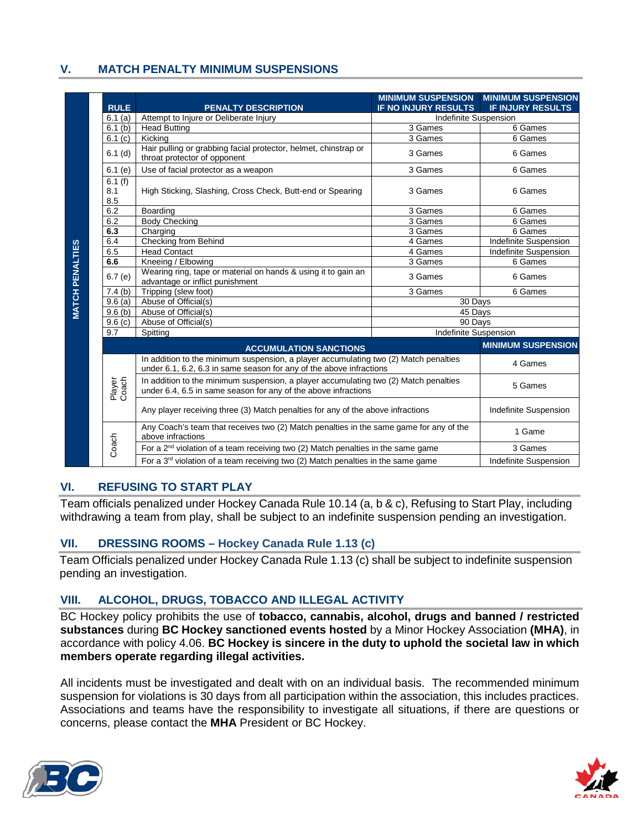# **V. MATCH PENALTY MINIMUM SUSPENSIONS**

| <b>RULE</b>          | <b>PENALTY DESCRIPTION</b>                                                                                                                                  | <b>MINIMUM SUSPENSION</b><br><b>IF NO INJURY RESULTS</b> | <b>MINIMUM SUSPENSION</b><br><b>IF INJURY RESULTS</b> |
|----------------------|-------------------------------------------------------------------------------------------------------------------------------------------------------------|----------------------------------------------------------|-------------------------------------------------------|
| 6.1(a)               | Attempt to Injure or Deliberate Injury                                                                                                                      | Indefinite Suspension                                    |                                                       |
| 6.1(b)               | <b>Head Butting</b>                                                                                                                                         | 3 Games                                                  | 6 Games                                               |
| 6.1(c)               | Kicking                                                                                                                                                     | 3 Games                                                  | 6 Games                                               |
| $6.1$ (d)            | Hair pulling or grabbing facial protector, helmet, chinstrap or<br>throat protector of opponent                                                             | 3 Games                                                  | 6 Games                                               |
| 6.1(e)               | Use of facial protector as a weapon                                                                                                                         | 3 Games                                                  | 6 Games                                               |
| 6.1(f)<br>8.1<br>8.5 | High Sticking, Slashing, Cross Check, Butt-end or Spearing                                                                                                  | 3 Games                                                  | 6 Games                                               |
| 6.2                  | Boarding                                                                                                                                                    | 3 Games                                                  | 6 Games                                               |
| 6.2                  | <b>Body Checking</b>                                                                                                                                        | 3 Games                                                  | 6 Games                                               |
| 6.3                  | Charging                                                                                                                                                    | 3 Games                                                  | 6 Games                                               |
| 6.4                  | Checking from Behind                                                                                                                                        | 4 Games                                                  | Indefinite Suspension                                 |
| 6.5                  | <b>Head Contact</b>                                                                                                                                         | 4 Games                                                  | Indefinite Suspension                                 |
| 6.6                  | Kneeing / Elbowing                                                                                                                                          | 3 Games                                                  | 6 Games                                               |
| 6.7(e)               | Wearing ring, tape or material on hands & using it to gain an<br>advantage or inflict punishment                                                            | 3 Games                                                  | 6 Games                                               |
| 7.4(b)               | Tripping (slew foot)                                                                                                                                        | 3 Games                                                  | 6 Games                                               |
| 9.6(a)               | Abuse of Official(s)                                                                                                                                        | 30 Days                                                  |                                                       |
| 9.6(b)               | Abuse of Official(s)                                                                                                                                        | 45 Days                                                  |                                                       |
| 9.6(c)               | Abuse of Official(s)                                                                                                                                        | 90 Days                                                  |                                                       |
| 9.7                  | Spitting                                                                                                                                                    | Indefinite Suspension                                    |                                                       |
|                      | <b>ACCUMULATION SANCTIONS</b>                                                                                                                               |                                                          | <b>MINIMUM SUSPENSION</b>                             |
|                      | In addition to the minimum suspension, a player accumulating two (2) Match penalties<br>under 6.1, 6.2, 6.3 in same season for any of the above infractions |                                                          | 4 Games                                               |
| Player<br>Coach      | In addition to the minimum suspension, a player accumulating two (2) Match penalties<br>under 6.4, 6.5 in same season for any of the above infractions      |                                                          | 5 Games                                               |
|                      | Any player receiving three (3) Match penalties for any of the above infractions                                                                             |                                                          | Indefinite Suspension                                 |
|                      | Any Coach's team that receives two (2) Match penalties in the same game for any of the<br>above infractions                                                 |                                                          | 1 Game                                                |
| Coach                | For a $2nd$ violation of a team receiving two (2) Match penalties in the same game                                                                          |                                                          | 3 Games                                               |
|                      | For a $3rd$ violation of a team receiving two (2) Match penalties in the same game                                                                          |                                                          | Indefinite Suspension                                 |

# **VI. REFUSING TO START PLAY**

Team officials penalized under Hockey Canada Rule 10.14 (a, b & c), Refusing to Start Play, including withdrawing a team from play, shall be subject to an indefinite suspension pending an investigation.

#### **VII. DRESSING ROOMS – Hockey Canada Rule 1.13 (c)**

Team Officials penalized under Hockey Canada Rule 1.13 (c) shall be subject to indefinite suspension pending an investigation.

# **VIII. ALCOHOL, DRUGS, TOBACCO AND ILLEGAL ACTIVITY**

BC Hockey policy prohibits the use of **tobacco, cannabis, alcohol, drugs and banned / restricted substances** during **BC Hockey sanctioned events hosted** by a Minor Hockey Association **(MHA)**, in accordance with policy 4.06. **BC Hockey is sincere in the duty to uphold the societal law in which members operate regarding illegal activities.** 

All incidents must be investigated and dealt with on an individual basis. The recommended minimum suspension for violations is 30 days from all participation within the association, this includes practices. Associations and teams have the responsibility to investigate all situations, if there are questions or concerns, please contact the **MHA** President or BC Hockey.



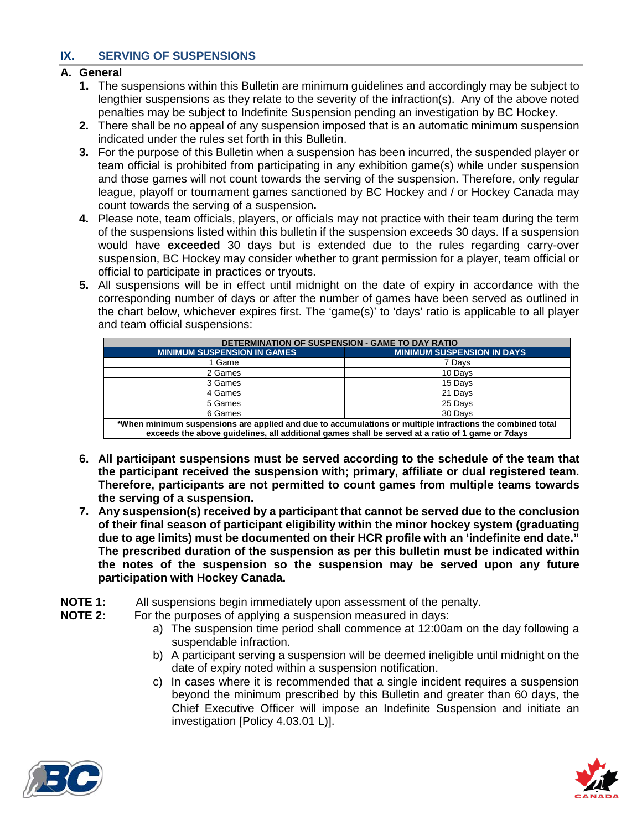# **IX. SERVING OF SUSPENSIONS**

# **A. General**

- **1.** The suspensions within this Bulletin are minimum guidelines and accordingly may be subject to lengthier suspensions as they relate to the severity of the infraction(s). Any of the above noted penalties may be subject to Indefinite Suspension pending an investigation by BC Hockey.
- **2.** There shall be no appeal of any suspension imposed that is an automatic minimum suspension indicated under the rules set forth in this Bulletin.
- **3.** For the purpose of this Bulletin when a suspension has been incurred, the suspended player or team official is prohibited from participating in any exhibition game(s) while under suspension and those games will not count towards the serving of the suspension. Therefore, only regular league, playoff or tournament games sanctioned by BC Hockey and / or Hockey Canada may count towards the serving of a suspension**.**
- **4.** Please note, team officials, players, or officials may not practice with their team during the term of the suspensions listed within this bulletin if the suspension exceeds 30 days. If a suspension would have **exceeded** 30 days but is extended due to the rules regarding carry-over suspension, BC Hockey may consider whether to grant permission for a player, team official or official to participate in practices or tryouts.
- **5.** All suspensions will be in effect until midnight on the date of expiry in accordance with the corresponding number of days or after the number of games have been served as outlined in the chart below, whichever expires first. The 'game(s)' to 'days' ratio is applicable to all player and team official suspensions:

| DETERMINATION OF SUSPENSION - GAME TO DAY RATIO                                                           |                                   |  |  |
|-----------------------------------------------------------------------------------------------------------|-----------------------------------|--|--|
| <b>MINIMUM SUSPENSION IN GAMES</b>                                                                        | <b>MINIMUM SUSPENSION IN DAYS</b> |  |  |
| 1 Game                                                                                                    | 7 Davs                            |  |  |
| 2 Games                                                                                                   | 10 Davs                           |  |  |
| 3 Games                                                                                                   | 15 Davs                           |  |  |
| 4 Games                                                                                                   | 21 Davs                           |  |  |
| 5 Games                                                                                                   | 25 Days                           |  |  |
| 6 Games                                                                                                   | 30 Days                           |  |  |
| total minimum suspensions are annipol and due to accumulations or multiple infractions the combined total |                                   |  |  |

**\*When minimum suspensions are applied and due to accumulations or multiple infractions the combined total exceeds the above guidelines, all additional games shall be served at a ratio of 1 game or 7days**

- **6. All participant suspensions must be served according to the schedule of the team that the participant received the suspension with; primary, affiliate or dual registered team. Therefore, participants are not permitted to count games from multiple teams towards the serving of a suspension.**
- **7. Any suspension(s) received by a participant that cannot be served due to the conclusion of their final season of participant eligibility within the minor hockey system (graduating due to age limits) must be documented on their HCR profile with an 'indefinite end date." The prescribed duration of the suspension as per this bulletin must be indicated within the notes of the suspension so the suspension may be served upon any future participation with Hockey Canada.**
- **NOTE 1:** All suspensions begin immediately upon assessment of the penalty.<br>**NOTE 2:** For the purposes of applying a suspension measured in days:
- For the purposes of applying a suspension measured in days:
	- a) The suspension time period shall commence at 12:00am on the day following a suspendable infraction.
	- b) A participant serving a suspension will be deemed ineligible until midnight on the date of expiry noted within a suspension notification.
	- c) In cases where it is recommended that a single incident requires a suspension beyond the minimum prescribed by this Bulletin and greater than 60 days, the Chief Executive Officer will impose an Indefinite Suspension and initiate an investigation [Policy 4.03.01 L)].



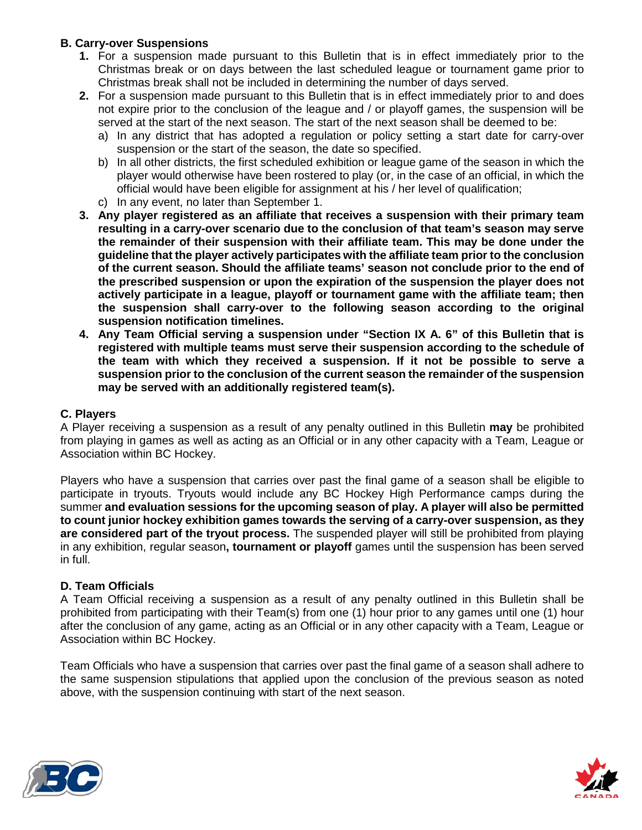# **B. Carry-over Suspensions**

- **1.** For a suspension made pursuant to this Bulletin that is in effect immediately prior to the Christmas break or on days between the last scheduled league or tournament game prior to Christmas break shall not be included in determining the number of days served.
- **2.** For a suspension made pursuant to this Bulletin that is in effect immediately prior to and does not expire prior to the conclusion of the league and / or playoff games, the suspension will be served at the start of the next season. The start of the next season shall be deemed to be:
	- a) In any district that has adopted a regulation or policy setting a start date for carry-over suspension or the start of the season, the date so specified.
	- b) In all other districts, the first scheduled exhibition or league game of the season in which the player would otherwise have been rostered to play (or, in the case of an official, in which the official would have been eligible for assignment at his / her level of qualification;
	- c) In any event, no later than September 1.
- **3. Any player registered as an affiliate that receives a suspension with their primary team resulting in a carry-over scenario due to the conclusion of that team's season may serve the remainder of their suspension with their affiliate team. This may be done under the guideline that the player actively participates with the affiliate team prior to the conclusion of the current season. Should the affiliate teams' season not conclude prior to the end of the prescribed suspension or upon the expiration of the suspension the player does not actively participate in a league, playoff or tournament game with the affiliate team; then the suspension shall carry-over to the following season according to the original suspension notification timelines.**
- **4. Any Team Official serving a suspension under "Section IX A. 6" of this Bulletin that is registered with multiple teams must serve their suspension according to the schedule of the team with which they received a suspension. If it not be possible to serve a suspension prior to the conclusion of the current season the remainder of the suspension may be served with an additionally registered team(s).**

# **C. Players**

A Player receiving a suspension as a result of any penalty outlined in this Bulletin **may** be prohibited from playing in games as well as acting as an Official or in any other capacity with a Team, League or Association within BC Hockey.

Players who have a suspension that carries over past the final game of a season shall be eligible to participate in tryouts. Tryouts would include any BC Hockey High Performance camps during the summer **and evaluation sessions for the upcoming season of play. A player will also be permitted to count junior hockey exhibition games towards the serving of a carry-over suspension, as they are considered part of the tryout process.** The suspended player will still be prohibited from playing in any exhibition, regular season**, tournament or playoff** games until the suspension has been served in full.

#### **D. Team Officials**

A Team Official receiving a suspension as a result of any penalty outlined in this Bulletin shall be prohibited from participating with their Team(s) from one (1) hour prior to any games until one (1) hour after the conclusion of any game, acting as an Official or in any other capacity with a Team, League or Association within BC Hockey.

Team Officials who have a suspension that carries over past the final game of a season shall adhere to the same suspension stipulations that applied upon the conclusion of the previous season as noted above, with the suspension continuing with start of the next season.